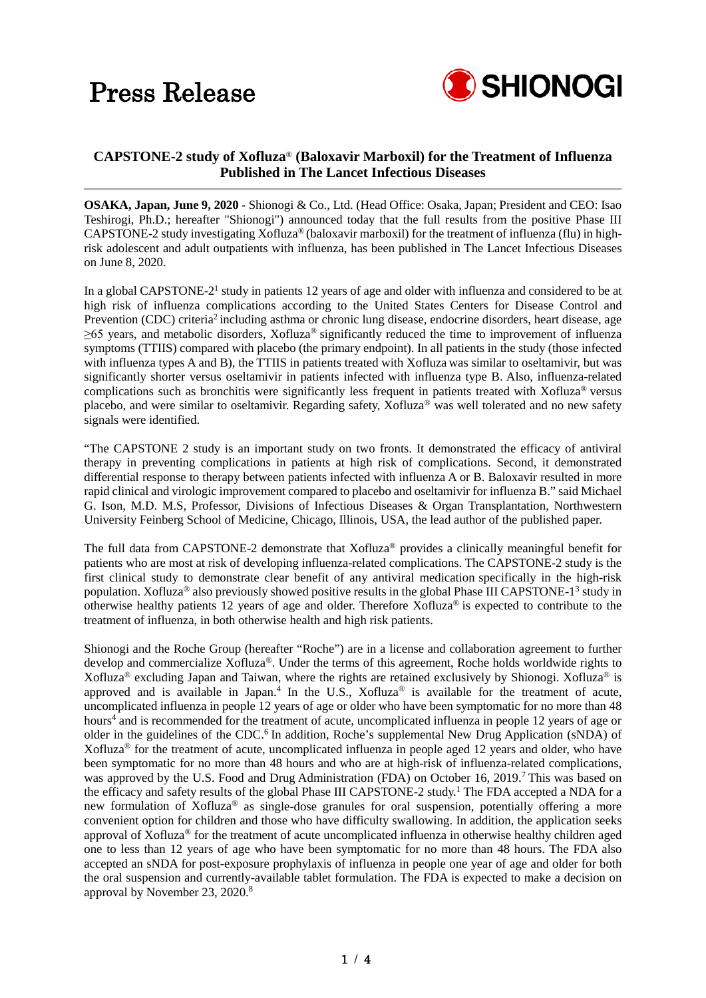

### **CAPSTONE-2 study of Xofluza**® **(Baloxavir Marboxil) for the Treatment of Influenza Published in The Lancet Infectious Diseases**

**OSAKA, Japan, June 9, 2020 -** Shionogi & Co., Ltd. (Head Office: Osaka, Japan; President and CEO: Isao Teshirogi, Ph.D.; hereafter "Shionogi") announced today that the full results from the positive Phase III CAPSTONE-2 study investigating Xofluza® (baloxavir marboxil) for the treatment of influenza (flu) in highrisk adolescent and adult outpatients with influenza, has been published in The Lancet Infectious Diseases on June 8, 2020.

In a global CAPSTONE-2<sup>1</sup> study in patients 12 years of age and older with influenza and considered to be at high risk of influenza complications according to the United States Centers for Disease Control and Prevention (CDC) criteria<sup>2</sup> including asthma or chronic lung disease, endocrine disorders, heart disease, age  $\geq 65$  years, and metabolic disorders, Xofluza® significantly reduced the time to improvement of influenza symptoms (TTIIS) compared with placebo (the primary endpoint). In all patients in the study (those infected with influenza types A and B), the TTIIS in patients treated with Xofluza was similar to oseltamivir, but was significantly shorter versus oseltamivir in patients infected with influenza type B. Also, influenza-related complications such as bronchitis were significantly less frequent in patients treated with Xofluza® versus placebo, and were similar to oseltamivir. Regarding safety, Xofluza® was well tolerated and no new safety signals were identified.

"The CAPSTONE 2 study is an important study on two fronts. It demonstrated the efficacy of antiviral therapy in preventing complications in patients at high risk of complications. Second, it demonstrated differential response to therapy between patients infected with influenza A or B. Baloxavir resulted in more rapid clinical and virologic improvement compared to placebo and oseltamivir for influenza B." said Michael G. Ison, M.D. M.S, Professor, Divisions of Infectious Diseases & Organ Transplantation, Northwestern University Feinberg School of Medicine, Chicago, Illinois, USA, the lead author of the published paper.

The full data from CAPSTONE-2 demonstrate that Xofluza® provides a clinically meaningful benefit for patients who are most at risk of developing influenza-related complications. The CAPSTONE-2 study is the first clinical study to demonstrate clear benefit of any antiviral medication specifically in the high-risk population. Xofluza® also previously showed positive results in the global Phase III CAPSTONE-13 study in otherwise healthy patients 12 years of age and older. Therefore Xofluza® is expected to contribute to the treatment of influenza, in both otherwise health and high risk patients.

Shionogi and the Roche Group (hereafter "Roche") are in a license and collaboration agreement to further develop and commercialize Xofluza®. Under the terms of this agreement, Roche holds worldwide rights to Xofluza® excluding Japan and Taiwan, where the rights are retained exclusively by Shionogi. Xofluza® is approved and is available in Japan.<sup>4</sup> In the U.S., Xofluza® is available for the treatment of acute, uncomplicated influenza in people 12 years of age or older who have been symptomatic for no more than 48 hours<sup>4</sup> and is recommended for the treatment of acute, uncomplicated influenza in people 12 years of age or older in the guidelines of the CDC.<sup>6</sup> In addition, Roche's supplemental New Drug Application (sNDA) of Xofluza® for the treatment of acute, uncomplicated influenza in people aged 12 years and older, who have been symptomatic for no more than 48 hours and who are at high-risk of influenza-related complications, was approved by the U.S. Food and Drug Administration (FDA) on October 16, 2019.<sup>7</sup> This was based on the efficacy and safety results of the global Phase III CAPSTONE-2 study.<sup>1</sup> The FDA accepted a NDA for a new formulation of Xofluza® as single-dose granules for oral suspension, potentially offering a more convenient option for children and those who have difficulty swallowing. In addition, the application seeks approval of Xofluza® for the treatment of acute uncomplicated influenza in otherwise healthy children aged one to less than 12 years of age who have been symptomatic for no more than 48 hours. The FDA also accepted an sNDA for post-exposure prophylaxis of influenza in people one year of age and older for both the oral suspension and currently-available tablet formulation. The FDA is expected to make a decision on approval by November 23, 2020.8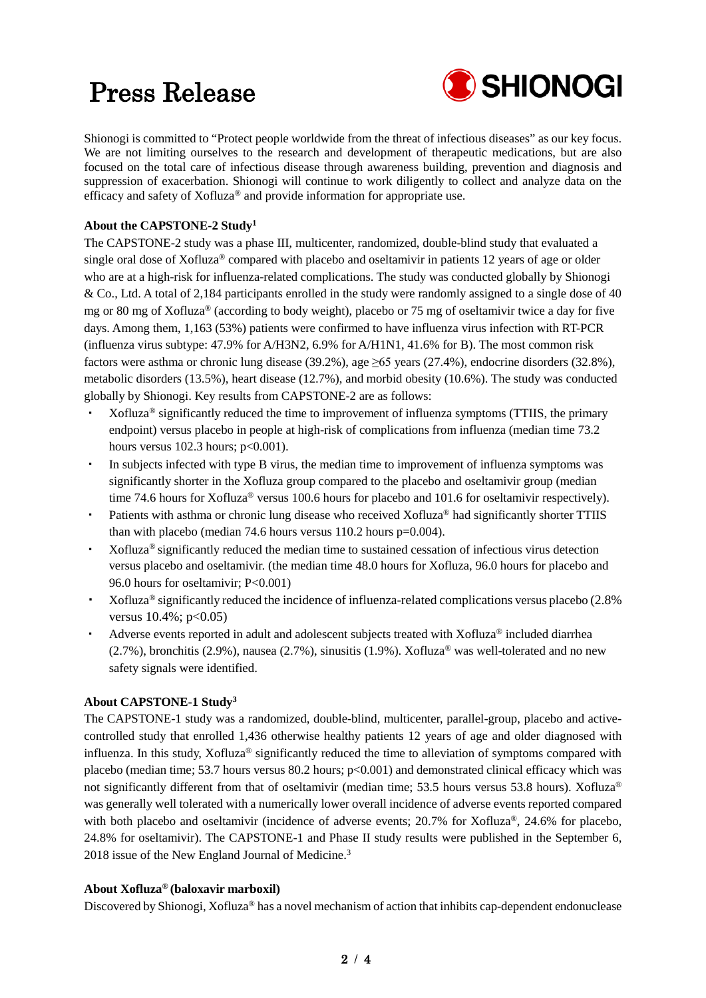## Press Release



Shionogi is committed to "Protect people worldwide from the threat of infectious diseases" as our key focus. We are not limiting ourselves to the research and development of therapeutic medications, but are also focused on the total care of infectious disease through awareness building, prevention and diagnosis and suppression of exacerbation. Shionogi will continue to work diligently to collect and analyze data on the efficacy and safety of Xofluza® and provide information for appropriate use.

### **About the CAPSTONE-2 Study1**

The CAPSTONE-2 study was a phase III, multicenter, randomized, double-blind study that evaluated a single oral dose of Xofluza® compared with placebo and oseltamivir in patients 12 years of age or older who are at a high-risk for influenza-related complications. The study was conducted globally by Shionogi & Co., Ltd. A total of 2,184 participants enrolled in the study were randomly assigned to a single dose of 40 mg or 80 mg of Xofluza® (according to body weight), placebo or 75 mg of oseltamivir twice a day for five days. Among them, 1,163 (53%) patients were confirmed to have influenza virus infection with RT-PCR (influenza virus subtype: 47.9% for A/H3N2, 6.9% for A/H1N1, 41.6% for B). The most common risk factors were asthma or chronic lung disease (39.2%), age ≥65 years (27.4%), endocrine disorders (32.8%), metabolic disorders (13.5%), heart disease (12.7%), and morbid obesity (10.6%). The study was conducted globally by Shionogi. Key results from CAPSTONE-2 are as follows:

- ・ Xofluza® significantly reduced the time to improvement of influenza symptoms (TTIIS, the primary endpoint) versus placebo in people at high-risk of complications from influenza (median time 73.2 hours versus  $102.3$  hours;  $p<0.001$ ).
- In subjects infected with type B virus, the median time to improvement of influenza symptoms was significantly shorter in the Xofluza group compared to the placebo and oseltamivir group (median time 74.6 hours for Xofluza® versus 100.6 hours for placebo and 101.6 for oseltamivir respectively).
- ・ Patients with asthma or chronic lung disease who received Xofluza® had significantly shorter TTIIS than with placebo (median 74.6 hours versus 110.2 hours p=0.004).
- Xofluza<sup>®</sup> significantly reduced the median time to sustained cessation of infectious virus detection versus placebo and oseltamivir. (the median time 48.0 hours for Xofluza, 96.0 hours for placebo and 96.0 hours for oseltamivir; P<0.001)
- ・ Xofluza® significantly reduced the incidence of influenza-related complications versus placebo (2.8% versus  $10.4\%$ ; p<0.05)
- ・ Adverse events reported in adult and adolescent subjects treated with Xofluza® included diarrhea  $(2.7\%)$ , bronchitis (2.9%), nausea (2.7%), sinusitis (1.9%). Xofluza<sup>®</sup> was well-tolerated and no new safety signals were identified.

### **About CAPSTONE-1 Study3**

The CAPSTONE-1 study was a randomized, double-blind, multicenter, parallel-group, placebo and activecontrolled study that enrolled 1,436 otherwise healthy patients 12 years of age and older diagnosed with influenza. In this study, Xofluza<sup>®</sup> significantly reduced the time to alleviation of symptoms compared with placebo (median time; 53.7 hours versus 80.2 hours; p<0.001) and demonstrated clinical efficacy which was not significantly different from that of oseltamivir (median time; 53.5 hours versus 53.8 hours). Xofluza<sup>®</sup> was generally well tolerated with a numerically lower overall incidence of adverse events reported compared with both placebo and oseltamivir (incidence of adverse events; 20.7% for Xofluza®, 24.6% for placebo, 24.8% for oseltamivir). The CAPSTONE-1 and Phase II study results were published in the September 6, 2018 issue of the New England Journal of Medicine.<sup>3</sup>

#### **About Xofluza® (baloxavir marboxil)**

Discovered by Shionogi, Xofluza® has a novel mechanism of action that inhibits cap-dependent endonuclease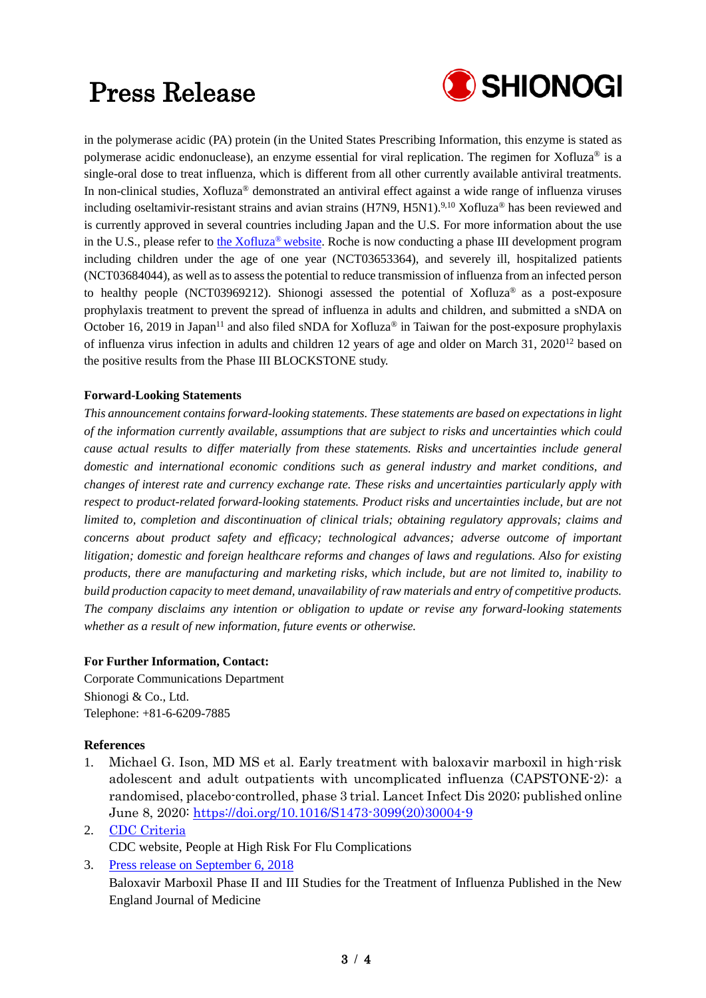# Press Release



in the polymerase acidic (PA) protein (in the United States Prescribing Information, this enzyme is stated as polymerase acidic endonuclease), an enzyme essential for viral replication. The regimen for Xofluza® is a single-oral dose to treat influenza, which is different from all other currently available antiviral treatments. In non-clinical studies, Xofluza® demonstrated an antiviral effect against a wide range of influenza viruses including oseltamivir-resistant strains and avian strains (H7N9, H5N1).<sup>9,10</sup> Xofluza<sup>®</sup> has been reviewed and is currently approved in several countries including Japan and the U.S. For more information about the use in the U.S., please refer to [the Xofluza® website.](https://www.xofluza.com/) Roche is now conducting a phase III development program including children under the age of one year (NCT03653364), and severely ill, hospitalized patients (NCT03684044), as well as to assess the potential to reduce transmission of influenza from an infected person to healthy people (NCT03969212). Shionogi assessed the potential of Xofluza® as a post-exposure prophylaxis treatment to prevent the spread of influenza in adults and children, and submitted a sNDA on October 16, 2019 in Japan<sup>11</sup> and also filed sNDA for Xofluza<sup>®</sup> in Taiwan for the post-exposure prophylaxis of influenza virus infection in adults and children 12 years of age and older on March 31,  $2020^{12}$  based on the positive results from the Phase III BLOCKSTONE study.

### **Forward-Looking Statements**

*This announcement contains forward-looking statements. These statements are based on expectations in light of the information currently available, assumptions that are subject to risks and uncertainties which could cause actual results to differ materially from these statements. Risks and uncertainties include general domestic and international economic conditions such as general industry and market conditions, and changes of interest rate and currency exchange rate. These risks and uncertainties particularly apply with respect to product-related forward-looking statements. Product risks and uncertainties include, but are not limited to, completion and discontinuation of clinical trials; obtaining regulatory approvals; claims and concerns about product safety and efficacy; technological advances; adverse outcome of important litigation; domestic and foreign healthcare reforms and changes of laws and regulations. Also for existing products, there are manufacturing and marketing risks, which include, but are not limited to, inability to build production capacity to meet demand, unavailability of raw materials and entry of competitive products. The company disclaims any intention or obligation to update or revise any forward-looking statements whether as a result of new information, future events or otherwise.*

#### **For Further Information, Contact:**

Corporate Communications Department Shionogi & Co., Ltd. Telephone: +81-6-6209-7885

### **References**

- 1. Michael G. Ison, MD MS et al. Early treatment with baloxavir marboxil in high-risk adolescent and adult outpatients with uncomplicated influenza (CAPSTONE-2): a randomised, placebo-controlled, phase 3 trial. Lancet Infect Dis 2020; published online June 8, 2020: [https://doi.org/10.1016/S1473-3099\(20\)30004-9](https://doi.org/10.1016/S1473-3099(20)30004-9)
- 2. [CDC Criteria](https://www.cdc.gov/flu/highrisk/index.htm) CDC website, People at High Risk For Flu Complications
- 3. [Press release on September 6, 2018](https://www.shionogi.com/content/dam/shionogi/global/news/pdf/2018/e180906.pdf) Baloxavir Marboxil Phase II and III Studies for the Treatment of Influenza Published in the New England Journal of Medicine